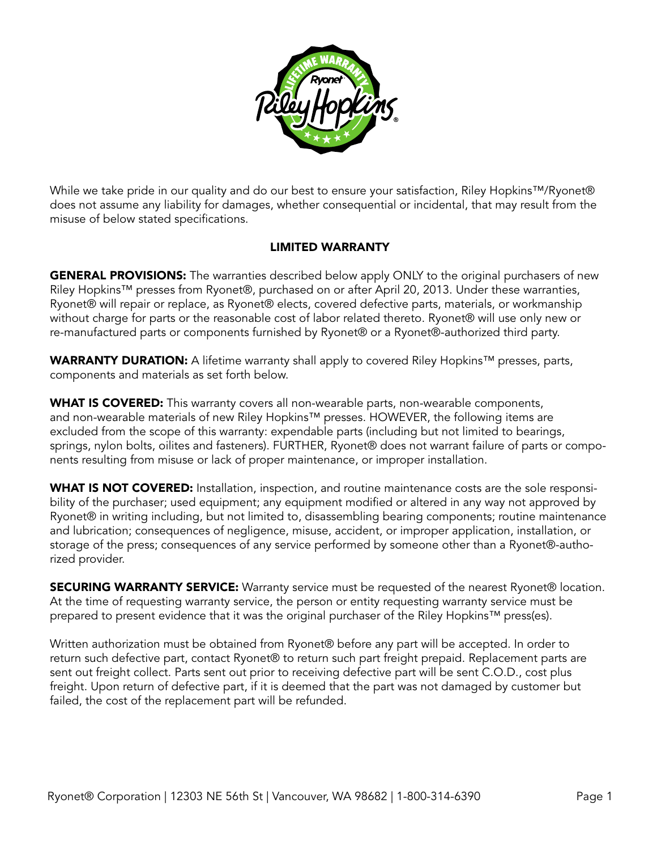

While we take pride in our quality and do our best to ensure your satisfaction, Riley Hopkins™/Ryonet® does not assume any liability for damages, whether consequential or incidental, that may result from the misuse of below stated specifications.

## LIMITED WARRANTY

**GENERAL PROVISIONS:** The warranties described below apply ONLY to the original purchasers of new Riley Hopkins™ presses from Ryonet®, purchased on or after April 20, 2013. Under these warranties, Ryonet® will repair or replace, as Ryonet® elects, covered defective parts, materials, or workmanship without charge for parts or the reasonable cost of labor related thereto. Ryonet® will use only new or re-manufactured parts or components furnished by Ryonet® or a Ryonet®-authorized third party.

WARRANTY DURATION: A lifetime warranty shall apply to covered Riley Hopkins™ presses, parts, components and materials as set forth below.

WHAT IS COVERED: This warranty covers all non-wearable parts, non-wearable components, and non-wearable materials of new Riley Hopkins™ presses. HOWEVER, the following items are excluded from the scope of this warranty: expendable parts (including but not limited to bearings, springs, nylon bolts, oilites and fasteners). FURTHER, Ryonet® does not warrant failure of parts or components resulting from misuse or lack of proper maintenance, or improper installation.

WHAT IS NOT COVERED: Installation, inspection, and routine maintenance costs are the sole responsibility of the purchaser; used equipment; any equipment modified or altered in any way not approved by Ryonet® in writing including, but not limited to, disassembling bearing components; routine maintenance and lubrication; consequences of negligence, misuse, accident, or improper application, installation, or storage of the press; consequences of any service performed by someone other than a Ryonet®-authorized provider.

**SECURING WARRANTY SERVICE:** Warranty service must be requested of the nearest Ryonet® location. At the time of requesting warranty service, the person or entity requesting warranty service must be prepared to present evidence that it was the original purchaser of the Riley Hopkins™ press(es).

Written authorization must be obtained from Ryonet® before any part will be accepted. In order to return such defective part, contact Ryonet® to return such part freight prepaid. Replacement parts are sent out freight collect. Parts sent out prior to receiving defective part will be sent C.O.D., cost plus freight. Upon return of defective part, if it is deemed that the part was not damaged by customer but failed, the cost of the replacement part will be refunded.